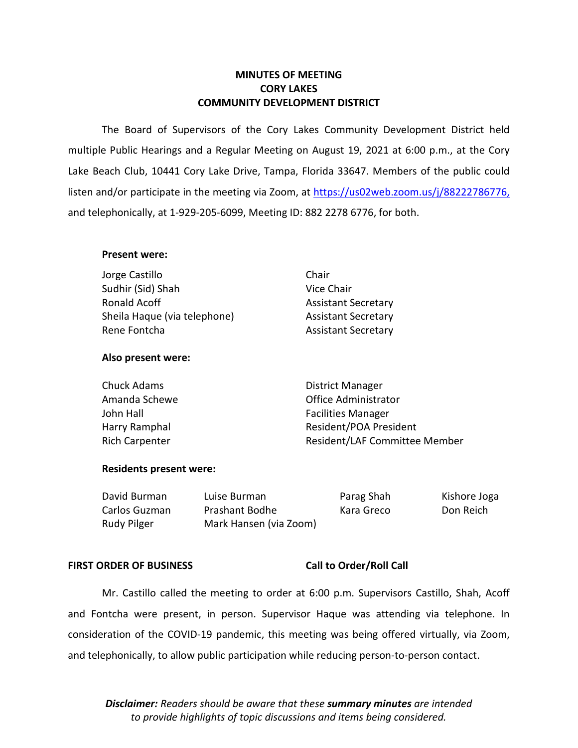# **MINUTES OF MEETING CORY LAKES COMMUNITY DEVELOPMENT DISTRICT**

 multiple Public Hearings and a Regular Meeting on August 19, 2021 at 6:00 p.m., at the Cory Lake Beach Club, 10441 Cory Lake Drive, Tampa, Florida 33647. Members of the public could and telephonically, at 1-929-205-6099, Meeting ID: 882 2278 6776, for both. The Board of Supervisors of the Cory Lakes Community Development District held listen and/or participate in the meeting via Zoom, at [https://us02web.zoom.us/j/88](https://us02web.zoom.us/j/8)222786776,

## **Present were:**

| Jorge Castillo               | Chair                      |
|------------------------------|----------------------------|
| Sudhir (Sid) Shah            | Vice Chair                 |
| Ronald Acoff                 | <b>Assistant Secretary</b> |
| Sheila Haque (via telephone) | <b>Assistant Secretary</b> |
| Rene Fontcha                 | <b>Assistant Secretary</b> |
|                              |                            |

# **Also present were:**

| Chuck Adams           | District Manager              |
|-----------------------|-------------------------------|
| Amanda Schewe         | Office Administrator          |
| John Hall             | <b>Facilities Manager</b>     |
| Harry Ramphal         | Resident/POA President        |
| <b>Rich Carpenter</b> | Resident/LAF Committee Member |

# **Residents present were:**

| David Burman  | Luise Burman           | Parag Shah | Kishore Joga |
|---------------|------------------------|------------|--------------|
| Carlos Guzman | Prashant Bodhe         | Kara Greco | Don Reich    |
| Rudy Pilger   | Mark Hansen (via Zoom) |            |              |

# FIRST ORDER OF BUSINESS Call to Order/Roll Call

 Mr. Castillo called the meeting to order at 6:00 p.m. Supervisors Castillo, Shah, Acoff and Fontcha were present, in person. Supervisor Haque was attending via telephone. In and telephonically, to allow public participation while reducing person-to-person contact. consideration of the COVID-19 pandemic, this meeting was being offered virtually, via Zoom,

*Disclaimer: Readers should be aware that these summary minutes are intended to provide highlights of topic discussions and items being considered.*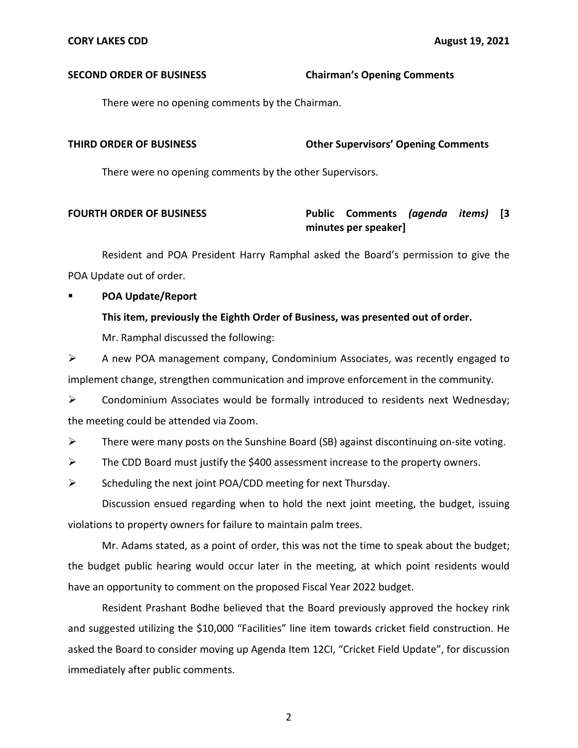### **SECOND ORDER OF BUSINESS Chairman's Opening Comments**

There were no opening comments by the Chairman.

# **THIRD ORDER OF BUSINESS Other Supervisors' Opening Comments**

There were no opening comments by the other Supervisors.

# **FOURTH ORDER OF BUSINESS Public Comments** *(agenda items)* **[3 minutes per speaker]**

 Resident and POA President Harry Ramphal asked the Board's permission to give the POA Update out of order.

# **POA Update/Report**

# **This item, previously the Eighth Order of Business, was presented out of order.**

Mr. Ramphal discussed the following:

 $\triangleright$  A new POA management company, Condominium Associates, was recently engaged to implement change, strengthen communication and improve enforcement in the community.

 $\triangleright$  Condominium Associates would be formally introduced to residents next Wednesday; the meeting could be attended via Zoom.

 $\triangleright$  There were many posts on the Sunshine Board (SB) against discontinuing on-site voting.

 $\triangleright$  The CDD Board must justify the \$400 assessment increase to the property owners.

 $\triangleright$  Scheduling the next joint POA/CDD meeting for next Thursday.

 Discussion ensued regarding when to hold the next joint meeting, the budget, issuing violations to property owners for failure to maintain palm trees.

 Mr. Adams stated, as a point of order, this was not the time to speak about the budget; the budget public hearing would occur later in the meeting, at which point residents would have an opportunity to comment on the proposed Fiscal Year 2022 budget.

 Resident Prashant Bodhe believed that the Board previously approved the hockey rink and suggested utilizing the \$10,000 "Facilities" line item towards cricket field construction. He asked the Board to consider moving up Agenda Item 12CI, "Cricket Field Update", for discussion immediately after public comments.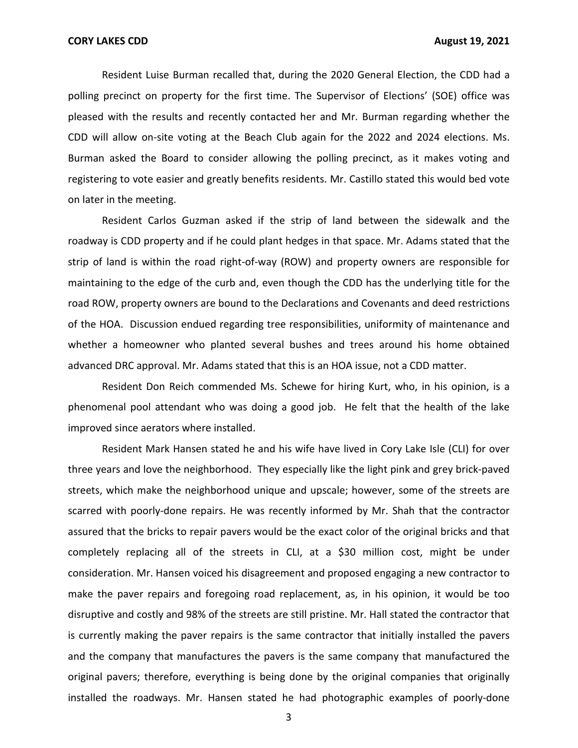Resident Luise Burman recalled that, during the 2020 General Election, the CDD had a polling precinct on property for the first time. The Supervisor of Elections' (SOE) office was pleased with the results and recently contacted her and Mr. Burman regarding whether the CDD will allow on-site voting at the Beach Club again for the 2022 and 2024 elections. Ms. Burman asked the Board to consider allowing the polling precinct, as it makes voting and registering to vote easier and greatly benefits residents. Mr. Castillo stated this would bed vote on later in the meeting.

 Resident Carlos Guzman asked if the strip of land between the sidewalk and the roadway is CDD property and if he could plant hedges in that space. Mr. Adams stated that the strip of land is within the road right-of-way (ROW) and property owners are responsible for maintaining to the edge of the curb and, even though the CDD has the underlying title for the road ROW, property owners are bound to the Declarations and Covenants and deed restrictions of the HOA. Discussion endued regarding tree responsibilities, uniformity of maintenance and whether a homeowner who planted several bushes and trees around his home obtained advanced DRC approval. Mr. Adams stated that this is an HOA issue, not a CDD matter.

 Resident Don Reich commended Ms. Schewe for hiring Kurt, who, in his opinion, is a phenomenal pool attendant who was doing a good job. He felt that the health of the lake improved since aerators where installed.

 Resident Mark Hansen stated he and his wife have lived in Cory Lake Isle (CLI) for over three years and love the neighborhood. They especially like the light pink and grey brick-paved streets, which make the neighborhood unique and upscale; however, some of the streets are scarred with poorly-done repairs. He was recently informed by Mr. Shah that the contractor assured that the bricks to repair pavers would be the exact color of the original bricks and that completely replacing all of the streets in CLI, at a \$30 million cost, might be under consideration. Mr. Hansen voiced his disagreement and proposed engaging a new contractor to make the paver repairs and foregoing road replacement, as, in his opinion, it would be too disruptive and costly and 98% of the streets are still pristine. Mr. Hall stated the contractor that is currently making the paver repairs is the same contractor that initially installed the pavers and the company that manufactures the pavers is the same company that manufactured the original pavers; therefore, everything is being done by the original companies that originally installed the roadways. Mr. Hansen stated he had photographic examples of poorly-done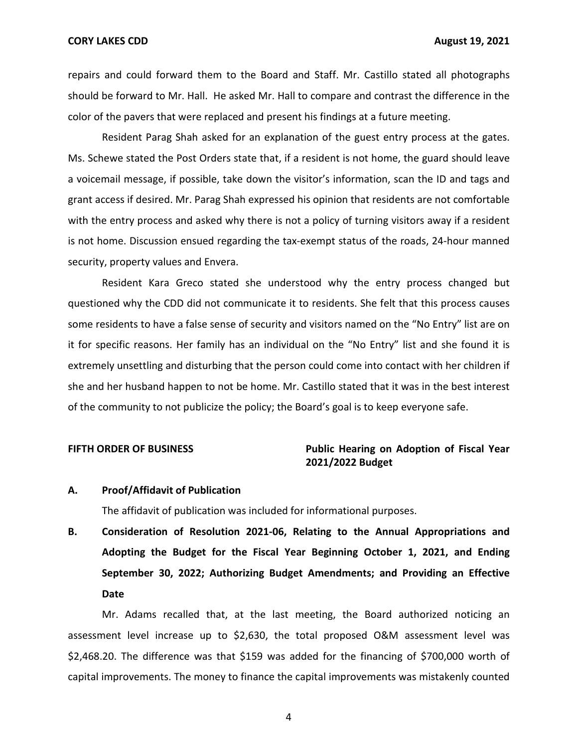**CORY LAKES CDD August 19, 2021** 

 repairs and could forward them to the Board and Staff. Mr. Castillo stated all photographs should be forward to Mr. Hall. He asked Mr. Hall to compare and contrast the difference in the color of the pavers that were replaced and present his findings at a future meeting.

 Resident Parag Shah asked for an explanation of the guest entry process at the gates. Ms. Schewe stated the Post Orders state that, if a resident is not home, the guard should leave a voicemail message, if possible, take down the visitor's information, scan the ID and tags and grant access if desired. Mr. Parag Shah expressed his opinion that residents are not comfortable with the entry process and asked why there is not a policy of turning visitors away if a resident is not home. Discussion ensued regarding the tax-exempt status of the roads, 24-hour manned security, property values and Envera.

 Resident Kara Greco stated she understood why the entry process changed but questioned why the CDD did not communicate it to residents. She felt that this process causes some residents to have a false sense of security and visitors named on the "No Entry" list are on it for specific reasons. Her family has an individual on the "No Entry" list and she found it is extremely unsettling and disturbing that the person could come into contact with her children if she and her husband happen to not be home. Mr. Castillo stated that it was in the best interest of the community to not publicize the policy; the Board's goal is to keep everyone safe.

# FIFTH ORDER OF BUSINESS **The State of Public Hearing on Adoption of Fiscal Year 2021/2022 Budget**

## **A. Proof/Affidavit of Publication**

The affidavit of publication was included for informational purposes.

 **B. Consideration of Resolution 2021-06, Relating to the Annual Appropriations and Adopting the Budget for the Fiscal Year Beginning October 1, 2021, and Ending September 30, 2022; Authorizing Budget Amendments; and Providing an Effective Date** 

 Mr. Adams recalled that, at the last meeting, the Board authorized noticing an assessment level increase up to \$2,630, the total proposed O&M assessment level was [\\$2,468.20.](https://2,468.20) The difference was that \$159 was added for the financing of \$700,000 worth of capital improvements. The money to finance the capital improvements was mistakenly counted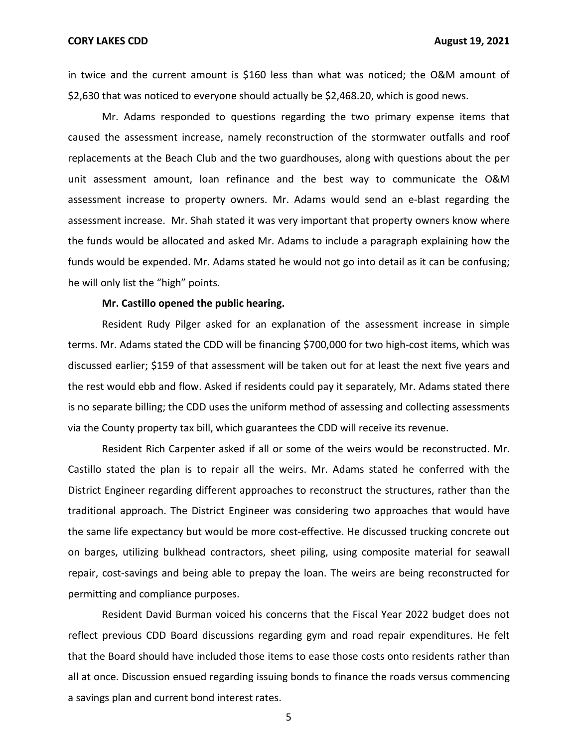in twice and the current amount is \$160 less than what was noticed; the O&M amount of \$2,630 that was noticed to everyone should actually be \$[2,468.20](https://2,468.20), which is good news.

 Mr. Adams responded to questions regarding the two primary expense items that caused the assessment increase, namely reconstruction of the stormwater outfalls and roof replacements at the Beach Club and the two guardhouses, along with questions about the per unit assessment amount, loan refinance and the best way to communicate the O&M assessment increase to property owners. Mr. Adams would send an e-blast regarding the assessment increase. Mr. Shah stated it was very important that property owners know where the funds would be allocated and asked Mr. Adams to include a paragraph explaining how the funds would be expended. Mr. Adams stated he would not go into detail as it can be confusing; he will only list the "high" points.

## **Mr. Castillo opened the public hearing.**

 Resident Rudy Pilger asked for an explanation of the assessment increase in simple terms. Mr. Adams stated the CDD will be financing \$700,000 for two high-cost items, which was discussed earlier; \$159 of that assessment will be taken out for at least the next five years and the rest would ebb and flow. Asked if residents could pay it separately, Mr. Adams stated there is no separate billing; the CDD uses the uniform method of assessing and collecting assessments via the County property tax bill, which guarantees the CDD will receive its revenue.

 Resident Rich Carpenter asked if all or some of the weirs would be reconstructed. Mr. Castillo stated the plan is to repair all the weirs. Mr. Adams stated he conferred with the District Engineer regarding different approaches to reconstruct the structures, rather than the traditional approach. The District Engineer was considering two approaches that would have the same life expectancy but would be more cost-effective. He discussed trucking concrete out on barges, utilizing bulkhead contractors, sheet piling, using composite material for seawall repair, cost-savings and being able to prepay the loan. The weirs are being reconstructed for permitting and compliance purposes.

 Resident David Burman voiced his concerns that the Fiscal Year 2022 budget does not reflect previous CDD Board discussions regarding gym and road repair expenditures. He felt that the Board should have included those items to ease those costs onto residents rather than all at once. Discussion ensued regarding issuing bonds to finance the roads versus commencing a savings plan and current bond interest rates.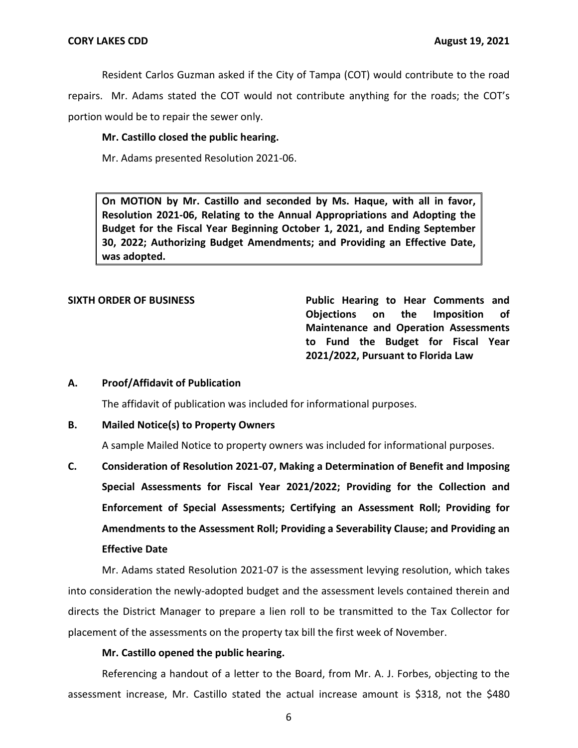Resident Carlos Guzman asked if the City of Tampa (COT) would contribute to the road repairs. Mr. Adams stated the COT would not contribute anything for the roads; the COT's portion would be to repair the sewer only.

# **Mr. Castillo closed the public hearing.**

Mr. Adams presented Resolution 2021-06.

 **Resolution 2021-06, Relating to the Annual Appropriations and Adopting the Budget for the Fiscal Year Beginning October 1, 2021, and Ending September 30, 2022; Authorizing Budget Amendments; and Providing an Effective Date, On MOTION by Mr. Castillo and seconded by Ms. Haque, with all in favor, was adopted.** 

SIXTH ORDER OF BUSINESS **Public Hearing to Hear Comments and Objections on the Imposition of Maintenance and Operation Assessments to Fund the Budget for Fiscal Year 2021/2022, Pursuant to Florida Law** 

# **A. Proof/Affidavit of Publication**

The affidavit of publication was included for informational purposes.

# **B. Mailed Notice(s) to Property Owners**

A sample Mailed Notice to property owners was included for informational purposes.

 **C. Consideration of Resolution 2021-07, Making a Determination of Benefit and Imposing Special Assessments for Fiscal Year 2021/2022; Providing for the Collection and Enforcement of Special Assessments; Certifying an Assessment Roll; Providing for Amendments to the Assessment Roll; Providing a Severability Clause; and Providing an Effective Date** 

 Mr. Adams stated Resolution 2021-07 is the assessment levying resolution, which takes into consideration the newly-adopted budget and the assessment levels contained therein and directs the District Manager to prepare a lien roll to be transmitted to the Tax Collector for placement of the assessments on the property tax bill the first week of November.

# **Mr. Castillo opened the public hearing.**

 Referencing a handout of a letter to the Board, from Mr. A. J. Forbes, objecting to the assessment increase, Mr. Castillo stated the actual increase amount is \$318, not the \$480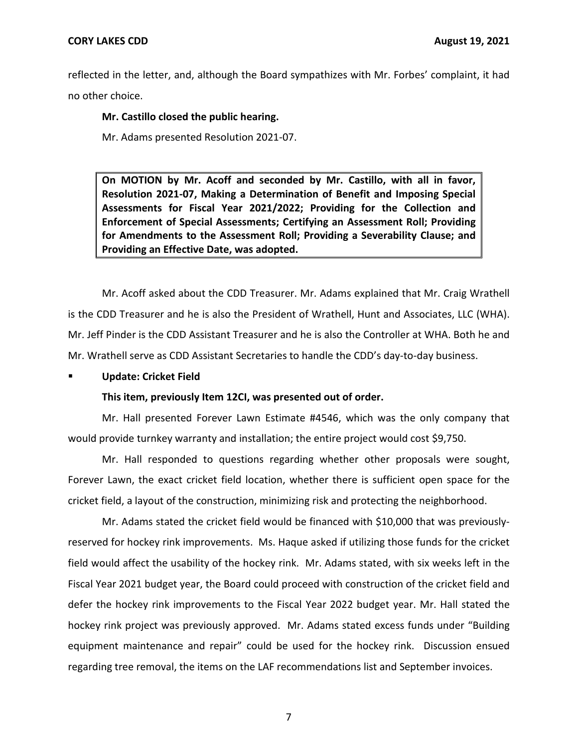reflected in the letter, and, although the Board sympathizes with Mr. Forbes' complaint, it had no other choice.

 **Mr. Castillo closed the public hearing.** 

Mr. Adams presented Resolution 2021-07.

 **Resolution 2021-07, Making a Determination of Benefit and Imposing Special Assessments for Fiscal Year 2021/2022; Providing for the Collection and Enforcement of Special Assessments; Certifying an Assessment Roll; Providing for Amendments to the Assessment Roll; Providing a Severability Clause; and Providing an Effective Date, was adopted. On MOTION by Mr. Acoff and seconded by Mr. Castillo, with all in favor,** 

 Mr. Acoff asked about the CDD Treasurer. Mr. Adams explained that Mr. Craig Wrathell is the CDD Treasurer and he is also the President of Wrathell, Hunt and Associates, LLC (WHA). Mr. Jeff Pinder is the CDD Assistant Treasurer and he is also the Controller at WHA. Both he and Mr. Wrathell serve as CDD Assistant Secretaries to handle the CDD's day-to-day business.

### **Update: Cricket Field**

# **This item, previously Item 12CI, was presented out of order.**

 Mr. Hall presented Forever Lawn Estimate #4546, which was the only company that would provide turnkey warranty and installation; the entire project would cost \$9,750.

 Mr. Hall responded to questions regarding whether other proposals were sought, Forever Lawn, the exact cricket field location, whether there is sufficient open space for the cricket field, a layout of the construction, minimizing risk and protecting the neighborhood.

 Mr. Adams stated the cricket field would be financed with \$10,000 that was previously- reserved for hockey rink improvements. Ms. Haque asked if utilizing those funds for the cricket field would affect the usability of the hockey rink. Mr. Adams stated, with six weeks left in the Fiscal Year 2021 budget year, the Board could proceed with construction of the cricket field and defer the hockey rink improvements to the Fiscal Year 2022 budget year. Mr. Hall stated the hockey rink project was previously approved. Mr. Adams stated excess funds under "Building equipment maintenance and repair" could be used for the hockey rink. Discussion ensued regarding tree removal, the items on the LAF recommendations list and September invoices.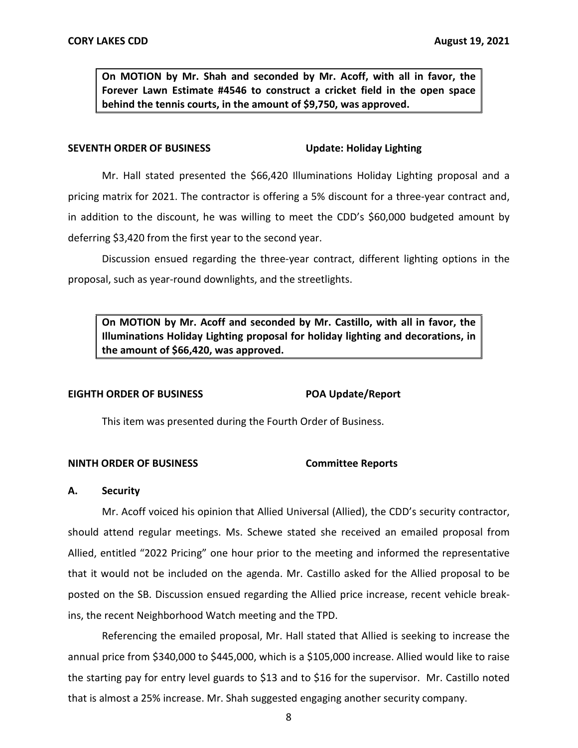**Forever Lawn Estimate #4546 to construct a cricket field in the open space behind the tennis courts, in the amount of \$9,750, was approved. On MOTION by Mr. Shah and seconded by Mr. Acoff, with all in favor, the** 

#### **Update: Holiday Lighting SEVENTH ORDER OF BUSINESS**

 Mr. Hall stated presented the \$66,420 Illuminations Holiday Lighting proposal and a pricing matrix for 2021. The contractor is offering a 5% discount for a three-year contract and, in addition to the discount, he was willing to meet the CDD's \$60,000 budgeted amount by deferring \$3,420 from the first year to the second year.

 Discussion ensued regarding the three-year contract, different lighting options in the proposal, such as year-round downlights, and the streetlights.

 **On MOTION by Mr. Acoff and seconded by Mr. Castillo, with all in favor, the Illuminations Holiday Lighting proposal for holiday lighting and decorations, in the amount of \$66,420, was approved.** 

## **EIGHTH ORDER OF BUSINESS POA Update/Report**

This item was presented during the Fourth Order of Business.

# **NINTH ORDER OF BUSINESS Committee Reports**

# **A. Security**

 should attend regular meetings. Ms. Schewe stated she received an emailed proposal from Allied, entitled "2022 Pricing" one hour prior to the meeting and informed the representative that it would not be included on the agenda. Mr. Castillo asked for the Allied proposal to be posted on the SB. Discussion ensued regarding the Allied price increase, recent vehicle break- ins, the recent Neighborhood Watch meeting and the TPD. Mr. Acoff voiced his opinion that Allied Universal (Allied), the CDD's security contractor,

 Referencing the emailed proposal, Mr. Hall stated that Allied is seeking to increase the annual price from \$340,000 to \$445,000, which is a \$105,000 increase. Allied would like to raise the starting pay for entry level guards to \$13 and to \$16 for the supervisor. Mr. Castillo noted that is almost a 25% increase. Mr. Shah suggested engaging another security company.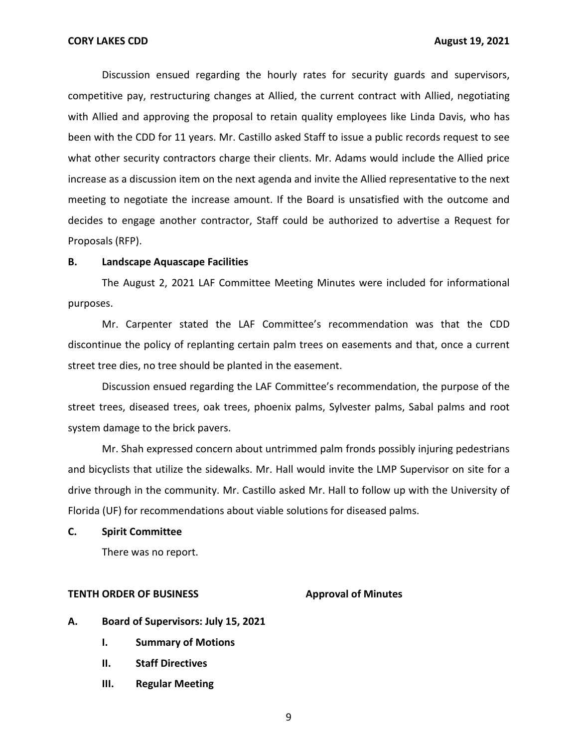Discussion ensued regarding the hourly rates for security guards and supervisors, competitive pay, restructuring changes at Allied, the current contract with Allied, negotiating with Allied and approving the proposal to retain quality employees like Linda Davis, who has been with the CDD for 11 years. Mr. Castillo asked Staff to issue a public records request to see what other security contractors charge their clients. Mr. Adams would include the Allied price increase as a discussion item on the next agenda and invite the Allied representative to the next meeting to negotiate the increase amount. If the Board is unsatisfied with the outcome and decides to engage another contractor, Staff could be authorized to advertise a Request for Proposals (RFP).

#### **B. Landscape Aquascape Facilities**

 The August 2, 2021 LAF Committee Meeting Minutes were included for informational purposes.

 discontinue the policy of replanting certain palm trees on easements and that, once a current street tree dies, no tree should be planted in the easement. Mr. Carpenter stated the LAF Committee's recommendation was that the CDD

 Discussion ensued regarding the LAF Committee's recommendation, the purpose of the street trees, diseased trees, oak trees, phoenix palms, Sylvester palms, Sabal palms and root system damage to the brick pavers.

 and bicyclists that utilize the sidewalks. Mr. Hall would invite the LMP Supervisor on site for a drive through in the community. Mr. Castillo asked Mr. Hall to follow up with the University of Florida (UF) for recommendations about viable solutions for diseased palms. Mr. Shah expressed concern about untrimmed palm fronds possibly injuring pedestrians

## **C. Spirit Committee**

There was no report.

#### **TENTH ORDER OF BUSINESS Approval of Minutes**

- **A. Board of Supervisors: July 15, 2021** 
	- **I. Summary of Motions**
	- **II. Staff Directives**
	- **III. Regular Meeting**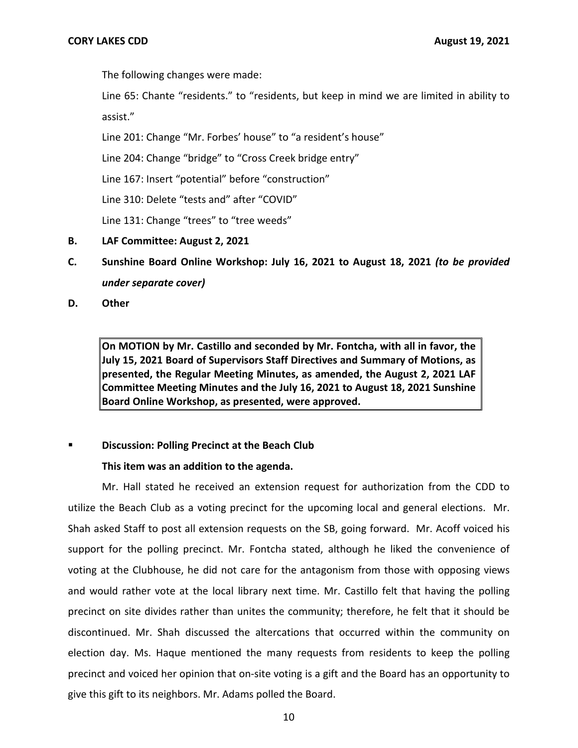The following changes were made:

 Line 65: Chante "residents." to "residents, but keep in mind we are limited in ability to assist."

assist."<br>Line 201: Change "Mr. Forbes' house" to "a resident's house"

Line 204: Change "bridge" to "Cross Creek bridge entry"

Line 167: Insert "potential" before "construction"

Line 310: Delete "tests and" after "COVID"

Line 131: Change "trees" to "tree weeds"

- **B. LAF Committee: August 2, 2021**
- **C. Sunshine Board Online Workshop: July 16, 2021 to August 18, 2021** *(to be provided under separate cover)*

**D. Other** 

 **On MOTION by Mr. Castillo and seconded by Mr. Fontcha, with all in favor, the July 15, 2021 Board of Supervisors Staff Directives and Summary of Motions, as presented, the Regular Meeting Minutes, as amended, the August 2, 2021 LAF Committee Meeting Minutes and the July 16, 2021 to August 18, 2021 Sunshine Board Online Workshop, as presented, were approved.** 

# **EXECT:** Discussion: Polling Precinct at the Beach Club

# **This item was an addition to the agenda.**

 Mr. Hall stated he received an extension request for authorization from the CDD to utilize the Beach Club as a voting precinct for the upcoming local and general elections. Mr. Shah asked Staff to post all extension requests on the SB, going forward. Mr. Acoff voiced his support for the polling precinct. Mr. Fontcha stated, although he liked the convenience of voting at the Clubhouse, he did not care for the antagonism from those with opposing views and would rather vote at the local library next time. Mr. Castillo felt that having the polling precinct on site divides rather than unites the community; therefore, he felt that it should be discontinued. Mr. Shah discussed the altercations that occurred within the community on election day. Ms. Haque mentioned the many requests from residents to keep the polling precinct and voiced her opinion that on-site voting is a gift and the Board has an opportunity to give this gift to its neighbors. Mr. Adams polled the Board.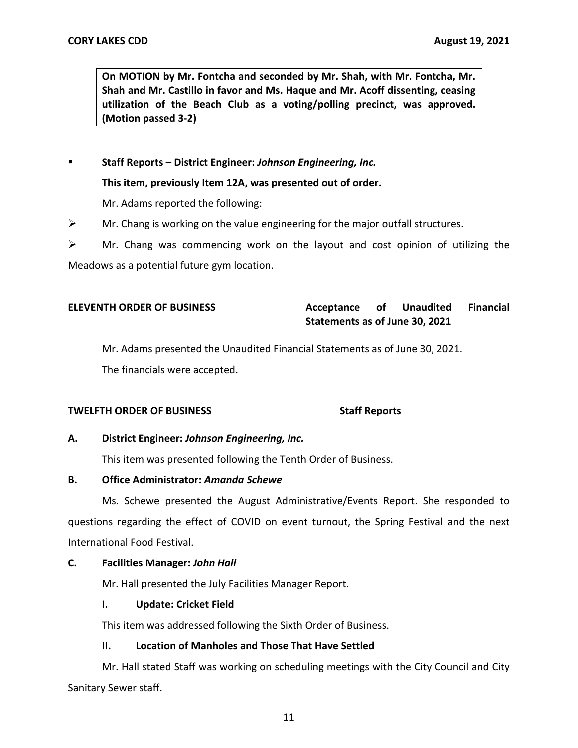**On MOTION by Mr. Fontcha and seconded by Mr. Shah, with Mr. Fontcha, Mr. Shah and Mr. Castillo in favor and Ms. Haque and Mr. Acoff dissenting, ceasing utilization of the Beach Club as a voting/polling precinct, was approved. (Motion passed 3-2)** 

 **Staff Reports – District Engineer:** *Johnson Engineering, Inc.* 

 **This item, previously Item 12A, was presented out of order.** 

Mr. Adams reported the following:

- $\triangleright$  Mr. Chang is working on the value engineering for the major outfall structures.
- $\triangleright$  Mr. Chang was commencing work on the layout and cost opinion of utilizing the

Meadows as a potential future gym location.

# **Statements as of June 30, 2021 ELEVENTH ORDER OF BUSINESS Acceptance of Unaudited Financial**

Mr. Adams presented the Unaudited Financial Statements as of June 30, 2021.

The financials were accepted.

# **TWELFTH ORDER OF BUSINESS** Staff Reports

# **A. District Engineer:** *Johnson Engineering, Inc.*

This item was presented following the Tenth Order of Business.

# **B. Office Administrator:** *Amanda Schewe*

 Ms. Schewe presented the August Administrative/Events Report. She responded to questions regarding the effect of COVID on event turnout, the Spring Festival and the next International Food Festival.

# **C. Facilities Manager:** *John Hall*

Mr. Hall presented the July Facilities Manager Report.

# **I. Update: Cricket Field**

This item was addressed following the Sixth Order of Business.

# **II. Location of Manholes and Those That Have Settled**

 Mr. Hall stated Staff was working on scheduling meetings with the City Council and City Sanitary Sewer staff.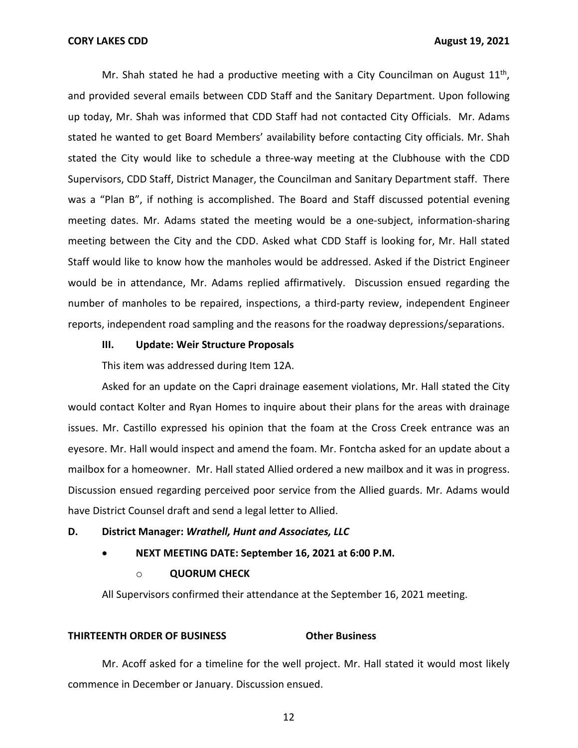Mr. Shah stated he had a productive meeting with a City Councilman on August  $11<sup>th</sup>$ , and provided several emails between CDD Staff and the Sanitary Department. Upon following up today, Mr. Shah was informed that CDD Staff had not contacted City Officials. Mr. Adams stated he wanted to get Board Members' availability before contacting City officials. Mr. Shah stated the City would like to schedule a three-way meeting at the Clubhouse with the CDD Supervisors, CDD Staff, District Manager, the Councilman and Sanitary Department staff. There was a "Plan B", if nothing is accomplished. The Board and Staff discussed potential evening meeting dates. Mr. Adams stated the meeting would be a one-subject, information-sharing meeting between the City and the CDD. Asked what CDD Staff is looking for, Mr. Hall stated Staff would like to know how the manholes would be addressed. Asked if the District Engineer would be in attendance, Mr. Adams replied affirmatively. Discussion ensued regarding the number of manholes to be repaired, inspections, a third-party review, independent Engineer reports, independent road sampling and the reasons for the roadway depressions/separations.

## **III. Update: Weir Structure Proposals**

This item was addressed during Item 12A.

 Asked for an update on the Capri drainage easement violations, Mr. Hall stated the City would contact Kolter and Ryan Homes to inquire about their plans for the areas with drainage issues. Mr. Castillo expressed his opinion that the foam at the Cross Creek entrance was an eyesore. Mr. Hall would inspect and amend the foam. Mr. Fontcha asked for an update about a mailbox for a homeowner. Mr. Hall stated Allied ordered a new mailbox and it was in progress. Discussion ensued regarding perceived poor service from the Allied guards. Mr. Adams would have District Counsel draft and send a legal letter to Allied.

# **D. District Manager:** *Wrathell, Hunt and Associates, LLC*

 • **NEXT MEETING DATE: September 16, 2021 at 6:00 P.M.** 

### o **QUORUM CHECK**

All Supervisors confirmed their attendance at the September 16, 2021 meeting.

#### **THIRTEENTH ORDER OF BUSINESS Other Business**

 Mr. Acoff asked for a timeline for the well project. Mr. Hall stated it would most likely commence in December or January. Discussion ensued.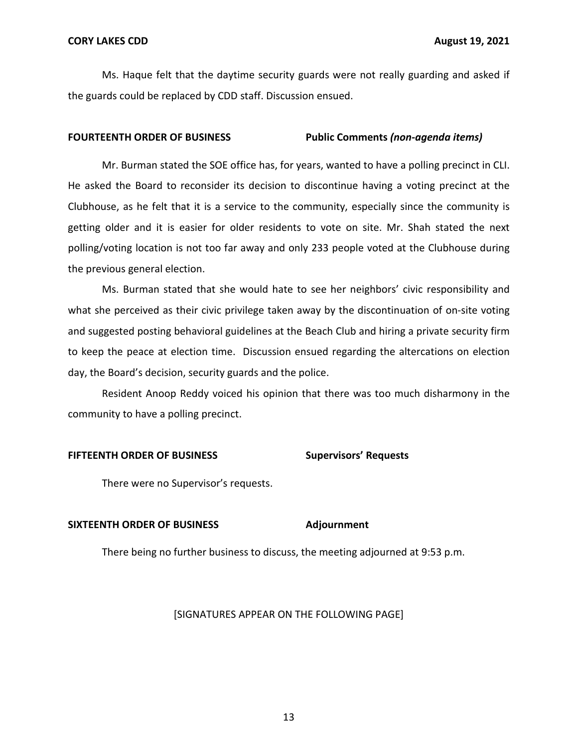Ms. Haque felt that the daytime security guards were not really guarding and asked if the guards could be replaced by CDD staff. Discussion ensued.

#### **FOURTEENTH ORDER OF BUSINESS Public Comments** *(non-agenda items)*

 Mr. Burman stated the SOE office has, for years, wanted to have a polling precinct in CLI. He asked the Board to reconsider its decision to discontinue having a voting precinct at the Clubhouse, as he felt that it is a service to the community, especially since the community is getting older and it is easier for older residents to vote on site. Mr. Shah stated the next polling/voting location is not too far away and only 233 people voted at the Clubhouse during the previous general election.

 Ms. Burman stated that she would hate to see her neighbors' civic responsibility and what she perceived as their civic privilege taken away by the discontinuation of on-site voting and suggested posting behavioral guidelines at the Beach Club and hiring a private security firm to keep the peace at election time. Discussion ensued regarding the altercations on election day, the Board's decision, security guards and the police.

 Resident Anoop Reddy voiced his opinion that there was too much disharmony in the community to have a polling precinct.

#### **FIFTEENTH ORDER OF BUSINESS Supervisors' Requests**

There were no Supervisor's requests.

# SIXTEENTH ORDER OF BUSINESS Adjournment

There being no further business to discuss, the meeting adjourned at 9:53 p.m.

## [SIGNATURES APPEAR ON THE FOLLOWING PAGE]